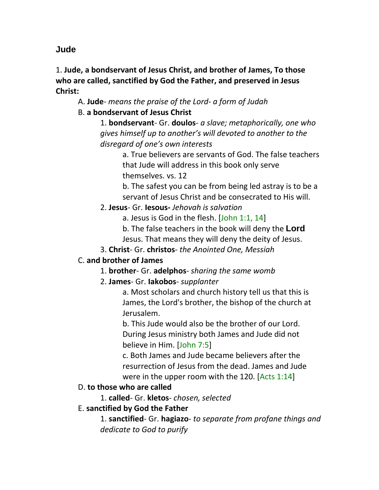**Jude**

1. **Jude, a bondservant of Jesus Christ, and brother of James, To those who are called, sanctified by God the Father, and preserved in Jesus Christ:**

A. **Jude**- *means the praise of the Lord- a form of Judah*

# B. **a bondservant of Jesus Christ**

1. **bondservant**- Gr. **doulos**- *a slave; metaphorically, one who gives himself up to another's will devoted to another to the disregard of one's own interests*

> a. True believers are servants of God. The false teachers that Jude will address in this book only serve themselves. vs. 12

> b. The safest you can be from being led astray is to be a servant of Jesus Christ and be consecrated to His will.

## 2. **Jesus**- Gr. **Iesous-** *Jehovah is salvation*

a. Jesus is God in the flesh. [John 1:1, 14]

b. The false teachers in the book will deny the **Lord**  Jesus. That means they will deny the deity of Jesus.

3. **Christ**- Gr. **christos**- *the Anointed One, Messiah*

# C. **and brother of James**

1. **brother**- Gr. **adelphos**- *sharing the same womb*

# 2. **James**- Gr. **Iakobos**- *supplanter*

a. Most scholars and church history tell us that this is James, the Lord's brother, the bishop of the church at Jerusalem.

b. This Jude would also be the brother of our Lord. During Jesus ministry both James and Jude did not believe in Him. [John 7:5]

c. Both James and Jude became believers after the resurrection of Jesus from the dead. James and Jude were in the upper room with the 120. [Acts 1:14]

# D. **to those who are called**

1. **called**- Gr. **kletos**- *chosen, selected*

# E. **sanctified by God the Father**

1. **sanctified**- Gr. **hagiazo**- *to separate from profane things and dedicate to God to purify*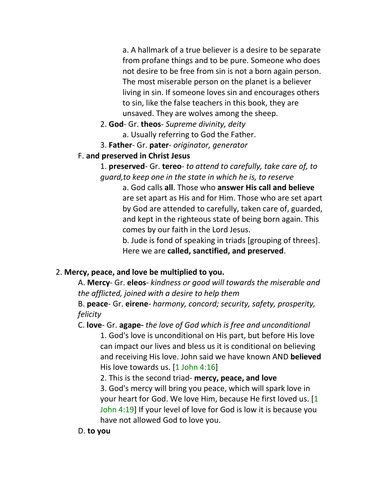a. A hallmark of a true believer is a desire to be separate from profane things and to be pure. Someone who does not desire to be free from sin is not a born again person. The most miserable person on the planet is a believer living in sin. If someone loves sin and encourages others to sin, like the false teachers in this book, they are unsaved. They are wolves among the sheep.

- 2. **God** Gr. **theos** *Supreme divinity, deity* a. Usually referring to God the Father.
- 3. **Father** Gr. **pater** *originator, generator*

## F. **and preserved in Christ Jesus**

1. **preserved**- Gr. **tereo**- *to attend to carefully, take care of, to guard,to keep one in the state in which he is, to reserve*

a. God calls **all**. Those who **answer His call and believe** are set apart as His and for Him. Those who are set apart by God are attended to carefully, taken care of, guarded, and kept in the righteous state of being born again. This comes by our faith in the Lord Jesus.

b. Jude is fond of speaking in triads [grouping of threes]. Here we are **called, sanctified, and preserved**.

# 2. **Mercy, peace, and love be multiplied to you.**

A. **Mercy**- Gr. **eleos**- *kindness or good will towards the miserable and the afflicted, joined with a desire to help them*

B. **peace**- Gr. **eirene**- *harmony, concord; security, safety, prosperity, felicity*

C. **love**- Gr. **agape-** *the love of God which is free and unconditional* 1. God's love is unconditional on His part, but before His love can impact our lives and bless us it is conditional on believing and receiving His love. John said we have known AND **believed** His love towards us. [1 John 4:16]

2. This is the second triad- **mercy, peace, and love**

3. God's mercy will bring you peace, which will spark love in your heart for God. We love Him, because He first loved us. [1 John 4:19] If your level of love for God is low it is because you have not allowed God to love you.

## D. **to you**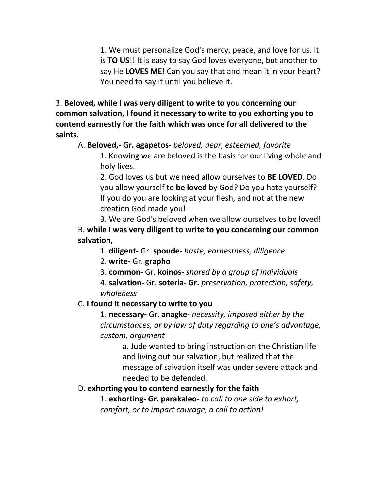1. We must personalize God's mercy, peace, and love for us. It is **TO US**!! It is easy to say God loves everyone, but another to say He **LOVES ME**! Can you say that and mean it in your heart? You need to say it until you believe it.

3. **Beloved, while I was very diligent to write to you concerning our common salvation, I found it necessary to write to you exhorting you to contend earnestly for the faith which was once for all delivered to the saints.**

### A. **Beloved,- Gr. agapetos-** *beloved, dear, esteemed, favorite*

1. Knowing we are beloved is the basis for our living whole and holy lives.

2. God loves us but we need allow ourselves to **BE LOVED**. Do you allow yourself to **be loved** by God? Do you hate yourself? If you do you are looking at your flesh, and not at the new creation God made you!

3. We are God's beloved when we allow ourselves to be loved! B. **while I was very diligent to write to you concerning our common salvation,**

1. **diligent-** Gr. **spoude-** *haste, earnestness, diligence*

2. **write-** Gr. **grapho**

3. **common-** Gr. **koinos-** *shared by a group of individuals*

4. **salvation-** Gr. **soteria- Gr.** *preservation, protection, safety, wholeness*

## C. **I found it necessary to write to you**

1. **necessary-** Gr. **anagke-** *necessity, imposed either by the circumstances, or by law of duty regarding to one's advantage, custom, argument*

> a. Jude wanted to bring instruction on the Christian life and living out our salvation, but realized that the message of salvation itself was under severe attack and needed to be defended.

## D. **exhorting you to contend earnestly for the faith**

1. **exhorting- Gr. parakaleo-** *to call to one side to exhort, comfort, or to impart courage, a call to action!*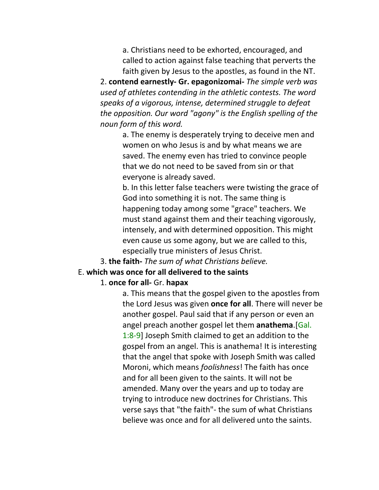a. Christians need to be exhorted, encouraged, and called to action against false teaching that perverts the faith given by Jesus to the apostles, as found in the NT.

2. **contend earnestly- Gr. epagonizomai-** *The simple verb was used of athletes contending in the athletic contests. The word speaks of a vigorous, intense, determined struggle to defeat the opposition. Our word "agony" is the English spelling of the noun form of this word.*

> a. The enemy is desperately trying to deceive men and women on who Jesus is and by what means we are saved. The enemy even has tried to convince people that we do not need to be saved from sin or that everyone is already saved.

b. In this letter false teachers were twisting the grace of God into something it is not. The same thing is happening today among some "grace" teachers. We must stand against them and their teaching vigorously, intensely, and with determined opposition. This might even cause us some agony, but we are called to this, especially true ministers of Jesus Christ.

3. **the faith-** *The sum of what Christians believe.*

#### E. **which was once for all delivered to the saints**

#### 1. **once for all-** Gr. **hapax**

a. This means that the gospel given to the apostles from the Lord Jesus was given **once for all**. There will never be another gospel. Paul said that if any person or even an angel preach another gospel let them **anathema**.[Gal. 1:8-9] Joseph Smith claimed to get an addition to the gospel from an angel. This is anathema! It is interesting that the angel that spoke with Joseph Smith was called Moroni, which means *foolishness*! The faith has once and for all been given to the saints. It will not be amended. Many over the years and up to today are trying to introduce new doctrines for Christians. This verse says that "the faith"- the sum of what Christians believe was once and for all delivered unto the saints.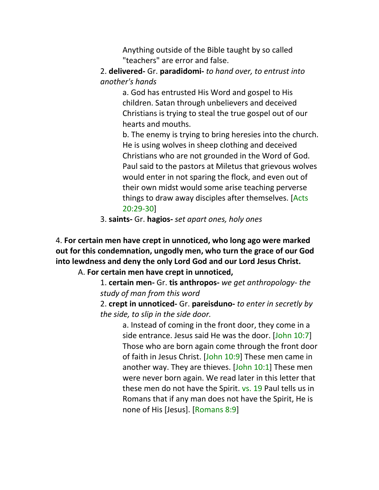Anything outside of the Bible taught by so called "teachers" are error and false.

2. **delivered-** Gr. **paradidomi-** *to hand over, to entrust into another's hands*

> a. God has entrusted His Word and gospel to His children. Satan through unbelievers and deceived Christians is trying to steal the true gospel out of our hearts and mouths.

b. The enemy is trying to bring heresies into the church. He is using wolves in sheep clothing and deceived Christians who are not grounded in the Word of God. Paul said to the pastors at Miletus that grievous wolves would enter in not sparing the flock, and even out of their own midst would some arise teaching perverse things to draw away disciples after themselves. [Acts 20:29-30]

3. **saints-** Gr. **hagios-** *set apart ones, holy ones*

4. **For certain men have crept in unnoticed, who long ago were marked out for this condemnation, ungodly men, who turn the grace of our God into lewdness and deny the only Lord God and our Lord Jesus Christ.**

A. **For certain men have crept in unnoticed,**

1. **certain men-** Gr. **tis anthropos-** *we get anthropology- the study of man from this word*

2. **crept in unnoticed-** Gr. **pareisduno-** *to enter in secretly by the side, to slip in the side door.*

> a. Instead of coming in the front door, they come in a side entrance. Jesus said He was the door. [John 10:7] Those who are born again come through the front door of faith in Jesus Christ. [John 10:9] These men came in another way. They are thieves. [John 10:1] These men were never born again. We read later in this letter that these men do not have the Spirit. vs. 19 Paul tells us in Romans that if any man does not have the Spirit, He is none of His [Jesus]. [Romans 8:9]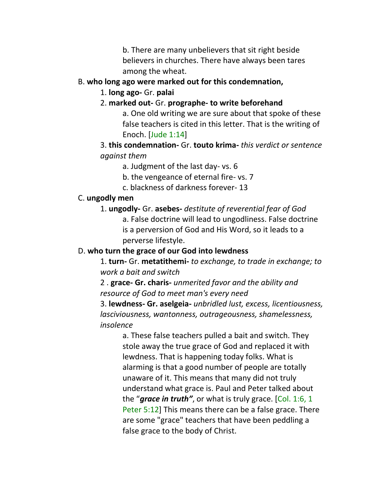b. There are many unbelievers that sit right beside believers in churches. There have always been tares among the wheat.

### B. **who long ago were marked out for this condemnation,**

- 1. **long ago-** Gr. **palai**
- 2. **marked out-** Gr. **prographe- to write beforehand**

a. One old writing we are sure about that spoke of these false teachers is cited in this letter. That is the writing of Enoch. [Jude 1:14]

3. **this condemnation-** Gr. **touto krima-** *this verdict or sentence against them*

a. Judgment of the last day- vs. 6

b. the vengeance of eternal fire- vs. 7

c. blackness of darkness forever- 13

### C. **ungodly men**

1. **ungodly-** Gr. **asebes-** *destitute of reverential fear of God* a. False doctrine will lead to ungodliness. False doctrine is a perversion of God and His Word, so it leads to a perverse lifestyle.

### D. **who turn the grace of our God into lewdness**

1. **turn-** Gr. **metatithemi-** *to exchange, to trade in exchange; to work a bait and switch*

2 . **grace- Gr. charis-** *unmerited favor and the ability and resource of God to meet man's every need*

3. **lewdness- Gr. aselgeia-** *unbridled lust, excess, licentiousness, lasciviousness, wantonness, outrageousness, shamelessness, insolence*

> a. These false teachers pulled a bait and switch. They stole away the true grace of God and replaced it with lewdness. That is happening today folks. What is alarming is that a good number of people are totally unaware of it. This means that many did not truly understand what grace is. Paul and Peter talked about the "*grace in truth"*, or what is truly grace. [Col. 1:6, 1 Peter 5:12] This means there can be a false grace. There are some "grace" teachers that have been peddling a false grace to the body of Christ.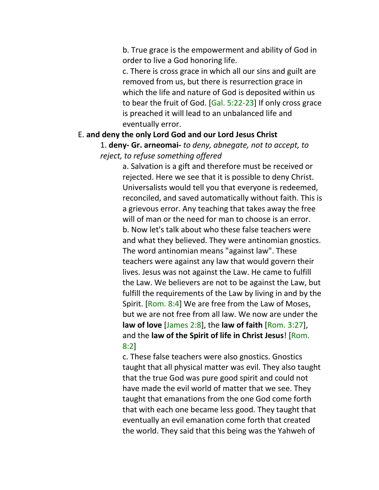b. True grace is the empowerment and ability of God in order to live a God honoring life.

c. There is cross grace in which all our sins and guilt are removed from us, but there is resurrection grace in which the life and nature of God is deposited within us to bear the fruit of God. [Gal. 5:22-23] If only cross grace is preached it will lead to an unbalanced life and eventually error.

#### E. **and deny the only Lord God and our Lord Jesus Christ**

1. **deny- Gr. arneomai-** *to deny, abnegate, not to accept, to reject, to refuse something offered*

> a. Salvation is a gift and therefore must be received or rejected. Here we see that it is possible to deny Christ. Universalists would tell you that everyone is redeemed, reconciled, and saved automatically without faith. This is a grievous error. Any teaching that takes away the free will of man or the need for man to choose is an error. b. Now let's talk about who these false teachers were and what they believed. They were antinomian gnostics. The word antinomian means "against law". These teachers were against any law that would govern their lives. Jesus was not against the Law. He came to fulfill the Law. We believers are not to be against the Law, but fulfill the requirements of the Law by living in and by the Spirit. [Rom. 8:4] We are free from the Law of Moses, but we are not free from all law. We now are under the **law of love** [James 2:8], the **law of faith** [Rom. 3:27], and the **law of the Spirit of life in Christ Jesus**! [Rom. 8:2]

> c. These false teachers were also gnostics. Gnostics taught that all physical matter was evil. They also taught that the true God was pure good spirit and could not have made the evil world of matter that we see. They taught that emanations from the one God come forth that with each one became less good. They taught that eventually an evil emanation come forth that created the world. They said that this being was the Yahweh of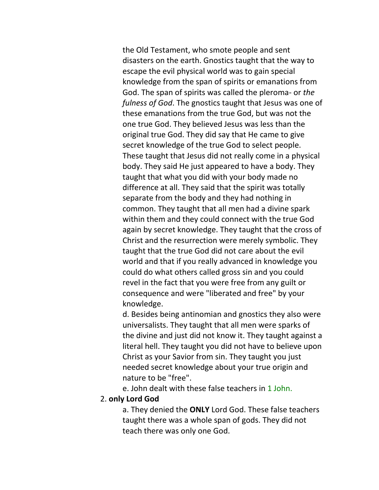the Old Testament, who smote people and sent disasters on the earth. Gnostics taught that the way to escape the evil physical world was to gain special knowledge from the span of spirits or emanations from God. The span of spirits was called the pleroma- or *the fulness of God*. The gnostics taught that Jesus was one of these emanations from the true God, but was not the one true God. They believed Jesus was less than the original true God. They did say that He came to give secret knowledge of the true God to select people. These taught that Jesus did not really come in a physical body. They said He just appeared to have a body. They taught that what you did with your body made no difference at all. They said that the spirit was totally separate from the body and they had nothing in common. They taught that all men had a divine spark within them and they could connect with the true God again by secret knowledge. They taught that the cross of Christ and the resurrection were merely symbolic. They taught that the true God did not care about the evil world and that if you really advanced in knowledge you could do what others called gross sin and you could revel in the fact that you were free from any guilt or consequence and were "liberated and free" by your knowledge.

d. Besides being antinomian and gnostics they also were universalists. They taught that all men were sparks of the divine and just did not know it. They taught against a literal hell. They taught you did not have to believe upon Christ as your Savior from sin. They taught you just needed secret knowledge about your true origin and nature to be "free".

e. John dealt with these false teachers in 1 John.

#### 2. **only Lord God**

a. They denied the **ONLY** Lord God. These false teachers taught there was a whole span of gods. They did not teach there was only one God.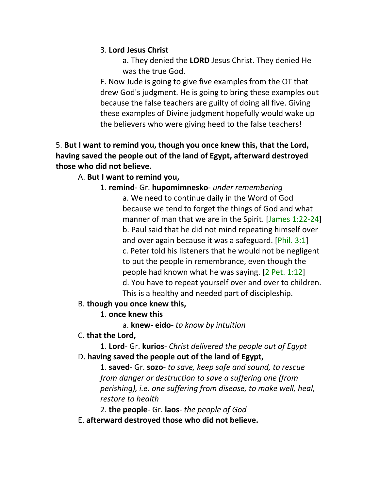## 3. **Lord Jesus Christ**

a. They denied the **LORD** Jesus Christ. They denied He was the true God.

F. Now Jude is going to give five examples from the OT that drew God's judgment. He is going to bring these examples out because the false teachers are guilty of doing all five. Giving these examples of Divine judgment hopefully would wake up the believers who were giving heed to the false teachers!

## 5. **But I want to remind you, though you once knew this, that the Lord, having saved the people out of the land of Egypt, afterward destroyed those who did not believe.**

## A. **But I want to remind you,**

## 1. **remind**- Gr. **hupomimnesko**- *under remembering*

a. We need to continue daily in the Word of God because we tend to forget the things of God and what manner of man that we are in the Spirit. [James 1:22-24] b. Paul said that he did not mind repeating himself over and over again because it was a safeguard. [Phil. 3:1] c. Peter told his listeners that he would not be negligent to put the people in remembrance, even though the people had known what he was saying. [2 Pet. 1:12] d. You have to repeat yourself over and over to children. This is a healthy and needed part of discipleship.

### B. **though you once knew this,**

## 1. **once knew this**

a. **knew**- **eido**- *to know by intuition*

## C. **that the Lord,**

1. **Lord**- Gr. **kurios**- *Christ delivered the people out of Egypt* D. **having saved the people out of the land of Egypt,**

1. **saved**- Gr. **sozo**- *to save, keep safe and sound, to rescue from danger or destruction to save a suffering one (from perishing), i.e. one suffering from disease, to make well, heal, restore to health*

2. **the people**- Gr. **laos**- *the people of God*

E. **afterward destroyed those who did not believe.**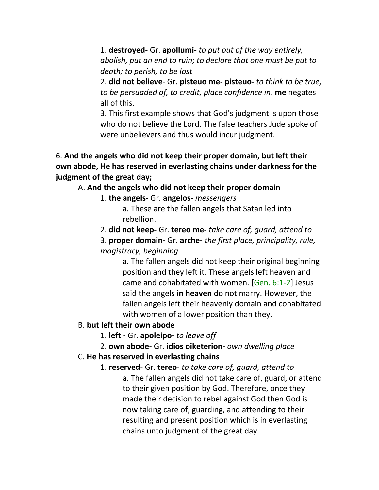1. **destroyed**- Gr. **apollumi-** *to put out of the way entirely, abolish, put an end to ruin; to declare that one must be put to death; to perish, to be lost*

2. **did not believe**- Gr. **pisteuo me- pisteuo-** *to think to be true, to be persuaded of, to credit, place confidence in*. **me** negates all of this.

3. This first example shows that God's judgment is upon those who do not believe the Lord. The false teachers Jude spoke of were unbelievers and thus would incur judgment.

6. **And the angels who did not keep their proper domain, but left their own abode, He has reserved in everlasting chains under darkness for the judgment of the great day;**

#### A. **And the angels who did not keep their proper domain**

1. **the angels**- Gr. **angelos**- *messengers*

a. These are the fallen angels that Satan led into rebellion.

2. **did not keep-** Gr. **tereo me-** *take care of, guard, attend to*

3. **proper domain-** Gr. **arche-** *the first place, principality, rule, magistracy, beginning*

> a. The fallen angels did not keep their original beginning position and they left it. These angels left heaven and came and cohabitated with women. [Gen. 6:1-2] Jesus said the angels **in heaven** do not marry. However, the fallen angels left their heavenly domain and cohabitated with women of a lower position than they.

#### B. **but left their own abode**

1. **left -** Gr. **apoleipo-** *to leave off*

2. **own abode-** Gr. **idios oiketerion-** *own dwelling place*

#### C. **He has reserved in everlasting chains**

1. **reserved**- Gr. **tereo**- *to take care of, guard, attend to* a. The fallen angels did not take care of, guard, or attend to their given position by God. Therefore, once they made their decision to rebel against God then God is now taking care of, guarding, and attending to their resulting and present position which is in everlasting chains unto judgment of the great day.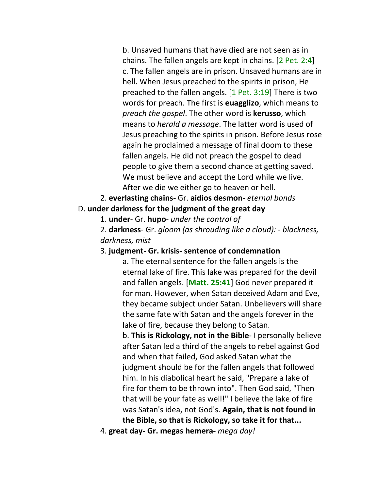b. Unsaved humans that have died are not seen as in chains. The fallen angels are kept in chains. [2 Pet. 2:4] c. The fallen angels are in prison. Unsaved humans are in hell. When Jesus preached to the spirits in prison, He preached to the fallen angels. [1 Pet. 3:19] There is two words for preach. The first is **euagglizo**, which means to *preach the gospel*. The other word is **kerusso**, which means to *herald a message*. The latter word is used of Jesus preaching to the spirits in prison. Before Jesus rose again he proclaimed a message of final doom to these fallen angels. He did not preach the gospel to dead people to give them a second chance at getting saved. We must believe and accept the Lord while we live. After we die we either go to heaven or hell.

2. **everlasting chains-** Gr. **aidios desmon-** *eternal bonds* D. **under darkness for the judgment of the great day**

1. **under**- Gr. **hupo**- *under the control of*

2. **darkness**- Gr. *gloom (as shrouding like a cloud): - blackness, darkness, mist*

#### 3. **judgment- Gr. krisis- sentence of condemnation**

a. The eternal sentence for the fallen angels is the eternal lake of fire. This lake was prepared for the devil and fallen angels. [**Matt. 25:41**] God never prepared it for man. However, when Satan deceived Adam and Eve, they became subject under Satan. Unbelievers will share the same fate with Satan and the angels forever in the lake of fire, because they belong to Satan.

b. **This is Rickology, not in the Bible**- I personally believe after Satan led a third of the angels to rebel against God and when that failed, God asked Satan what the judgment should be for the fallen angels that followed him. In his diabolical heart he said, "Prepare a lake of fire for them to be thrown into". Then God said, "Then that will be your fate as well!" I believe the lake of fire was Satan's idea, not God's. **Again, that is not found in the Bible, so that is Rickology, so take it for that...**

4. **great day- Gr. megas hemera-** *mega day!*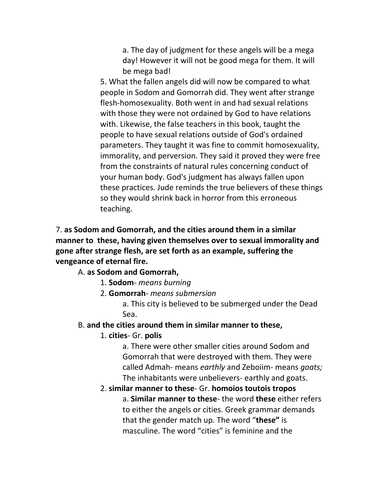a. The day of judgment for these angels will be a mega day! However it will not be good mega for them. It will be mega bad!

5. What the fallen angels did will now be compared to what people in Sodom and Gomorrah did. They went after strange flesh-homosexuality. Both went in and had sexual relations with those they were not ordained by God to have relations with. Likewise, the false teachers in this book, taught the people to have sexual relations outside of God's ordained parameters. They taught it was fine to commit homosexuality, immorality, and perversion. They said it proved they were free from the constraints of natural rules concerning conduct of your human body. God's judgment has always fallen upon these practices. Jude reminds the true believers of these things so they would shrink back in horror from this erroneous teaching.

7. **as Sodom and Gomorrah, and the cities around them in a similar manner to these, having given themselves over to sexual immorality and gone after strange flesh, are set forth as an example, suffering the vengeance of eternal fire.**

A. **as Sodom and Gomorrah,**

- 1. **Sodom** *means burning*
- 2. **Gomorrah** *means submersion*

a. This city is believed to be submerged under the Dead Sea.

### B. **and the cities around them in similar manner to these,**

### 1. **cities**- Gr. **polis**

a. There were other smaller cities around Sodom and Gomorrah that were destroyed with them. They were called Admah- means *earthly* and Zeboiim- means *goats;*  The inhabitants were unbelievers- earthly and goats.

#### 2. **similar manner to these**- Gr. **homoios toutois tropos**

a. **Similar manner to these**- the word **these** either refers to either the angels or cities. Greek grammar demands that the gender match up. The word "**these"** is masculine. The word "cities" is feminine and the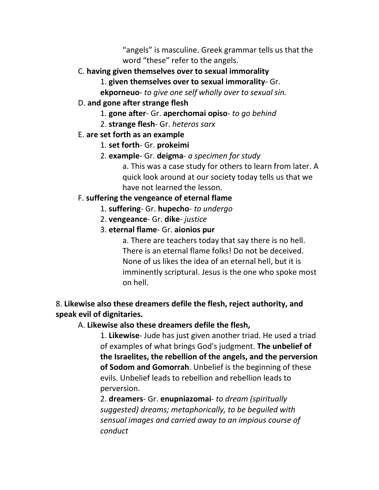"angels" is masculine. Greek grammar tells us that the word "these" refer to the angels.

- C. **having given themselves over to sexual immorality**
	- 1. **given themselves over to sexual immorality** Gr.
	- **ekporneuo** *to give one self wholly over to sexual sin.*
- D. **and gone after strange flesh**
	- 1. **gone after** Gr. **aperchomai opiso** *to go behind*
	- 2. **strange flesh** Gr. *heteros sarx*
- E. **are set forth as an example**
	- 1. **set forth** Gr. **prokeimi**
	- 2. **example** Gr. **deigma** *a specimen for study*

a. This was a case study for others to learn from later. A quick look around at our society today tells us that we have not learned the lesson.

# F. **suffering the vengeance of eternal flame**

- 1. **suffering** Gr. **hupecho** *to undergo*
- 2. **vengeance** Gr. **dike** *justice*
- 3. **eternal flame** Gr. **aionios pur**

a. There are teachers today that say there is no hell. There is an eternal flame folks! Do not be deceived. None of us likes the idea of an eternal hell, but it is imminently scriptural. Jesus is the one who spoke most on hell.

## 8. **Likewise also these dreamers defile the flesh, reject authority, and speak evil of dignitaries.**

## A. **Likewise also these dreamers defile the flesh,**

1. **Likewise**- Jude has just given another triad. He used a triad of examples of what brings God's judgment. **The unbelief of the Israelites, the rebellion of the angels, and the perversion of Sodom and Gomorrah**. Unbelief is the beginning of these evils. Unbelief leads to rebellion and rebellion leads to perversion.

2. **dreamers**- Gr. **enupniazomai**- *to dream (spiritually suggested) dreams; metaphorically, to be beguiled with sensual images and carried away to an impious course of conduct*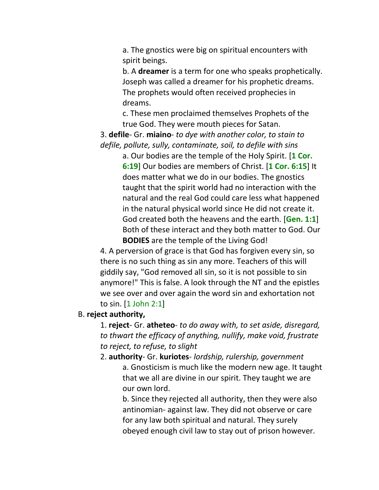a. The gnostics were big on spiritual encounters with spirit beings.

b. A **dreamer** is a term for one who speaks prophetically. Joseph was called a dreamer for his prophetic dreams. The prophets would often received prophecies in dreams.

c. These men proclaimed themselves Prophets of the true God. They were mouth pieces for Satan.

3. **defile**- Gr. **miaino**- *to dye with another color, to stain to defile, pollute, sully, contaminate, soil, to defile with sins*

> a. Our bodies are the temple of the Holy Spirit. [**1 Cor. 6:19**] Our bodies are members of Christ. [**1 Cor. 6:15**] It does matter what we do in our bodies. The gnostics taught that the spirit world had no interaction with the natural and the real God could care less what happened in the natural physical world since He did not create it. God created both the heavens and the earth. [**Gen. 1:1**] Both of these interact and they both matter to God. Our **BODIES** are the temple of the Living God!

4. A perversion of grace is that God has forgiven every sin, so there is no such thing as sin any more. Teachers of this will giddily say, "God removed all sin, so it is not possible to sin anymore!" This is false. A look through the NT and the epistles we see over and over again the word sin and exhortation not to sin. [1 John 2:1]

#### B. **reject authority,**

1. **reject**- Gr. **atheteo**- *to do away with, to set aside, disregard, to thwart the efficacy of anything, nullify, make void, frustrate to reject, to refuse, to slight*

2. **authority**- Gr. **kuriotes**- *lordship, rulership, government* a. Gnosticism is much like the modern new age. It taught that we all are divine in our spirit. They taught we are our own lord.

> b. Since they rejected all authority, then they were also antinomian- against law. They did not observe or care for any law both spiritual and natural. They surely obeyed enough civil law to stay out of prison however.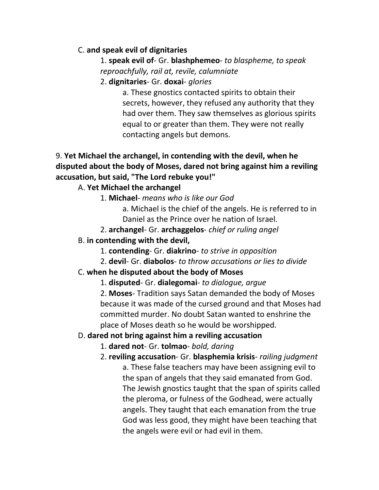## C. **and speak evil of dignitaries**

1. **speak evil of**- Gr. **blashphemeo**- *to blaspheme, to speak reproachfully, rail at, revile, calumniate*

2. **dignitaries**- Gr. **doxai**- *glories*

a. These gnostics contacted spirits to obtain their secrets, however, they refused any authority that they had over them. They saw themselves as glorious spirits equal to or greater than them. They were not really contacting angels but demons.

## 9. **Yet Michael the archangel, in contending with the devil, when he disputed about the body of Moses, dared not bring against him a reviling accusation, but said, "The Lord rebuke you!"**

## A. **Yet Michael the archangel**

1. **Michael**- *means who is like our God*

a. Michael is the chief of the angels. He is referred to in Daniel as the Prince over he nation of Israel.

2. **archangel**- Gr. **archaggelos**- *chief or ruling angel*

### B. **in contending with the devil,**

- 1. **contending** Gr. **diakrino** *to strive in opposition*
- 2. **devil** Gr. **diabolos** *to throw accusations or lies to divide*

## C. **when he disputed about the body of Moses**

1. **disputed**- Gr. **dialegomai**- *to dialogue, argue*

2. **Moses**- Tradition says Satan demanded the body of Moses because it was made of the cursed ground and that Moses had committed murder. No doubt Satan wanted to enshrine the place of Moses death so he would be worshipped.

### D. **dared not bring against him a reviling accusation**

1. **dared not**- Gr. **tolmao**- *bold, daring*

2. **reviling accusation**- Gr. **blasphemia krisis**- *railing judgment* a. These false teachers may have been assigning evil to the span of angels that they said emanated from God. The Jewish gnostics taught that the span of spirits called the pleroma, or fulness of the Godhead, were actually angels. They taught that each emanation from the true God was less good, they might have been teaching that the angels were evil or had evil in them.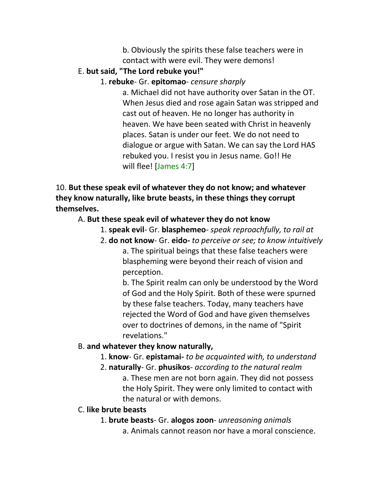b. Obviously the spirits these false teachers were in contact with were evil. They were demons!

### E. **but said, "The Lord rebuke you!"**

1. **rebuke**- Gr. **epitomao**- *censure sharply*

a. Michael did not have authority over Satan in the OT. When Jesus died and rose again Satan was stripped and cast out of heaven. He no longer has authority in heaven. We have been seated with Christ in heavenly places. Satan is under our feet. We do not need to dialogue or argue with Satan. We can say the Lord HAS rebuked you. I resist you in Jesus name. Go!! He will flee! [James 4:7]

10. **But these speak evil of whatever they do not know; and whatever they know naturally, like brute beasts, in these things they corrupt themselves.**

## A. **But these speak evil of whatever they do not know**

- 1. **speak evil** Gr. **blasphemeo** *speak reproachfully, to rail at*
- 2. **do not know** Gr. **eido-** *to perceive or see; to know intuitively*

a. The spiritual beings that these false teachers were blaspheming were beyond their reach of vision and perception.

b. The Spirit realm can only be understood by the Word of God and the Holy Spirit. Both of these were spurned by these false teachers. Today, many teachers have rejected the Word of God and have given themselves over to doctrines of demons, in the name of "Spirit revelations."

### B. **and whatever they know naturally,**

- 1. **know** Gr. **epistamai-** *to be acquainted with, to understand*
- 2. **naturally** Gr. **phusikos** *according to the natural realm*

a. These men are not born again. They did not possess the Holy Spirit. They were only limited to contact with the natural or with demons.

### C. **like brute beasts**

1. **brute beasts**- Gr. **alogos zoon**- *unreasoning animals*

a. Animals cannot reason nor have a moral conscience.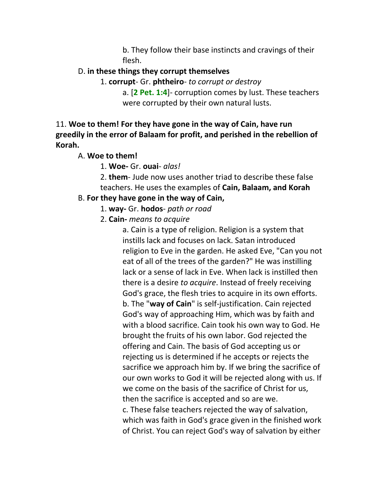b. They follow their base instincts and cravings of their flesh.

### D. **in these things they corrupt themselves**

1. **corrupt**- Gr. **phtheiro**- *to corrupt or destroy*

a. [**2 Pet. 1:4**]- corruption comes by lust. These teachers were corrupted by their own natural lusts.

11. **Woe to them! For they have gone in the way of Cain, have run greedily in the error of Balaam for profit, and perished in the rebellion of Korah.**

## A. **Woe to them!**

1. **Woe-** Gr. **ouai**- *alas!*

2. **them**- Jude now uses another triad to describe these false teachers. He uses the examples of **Cain, Balaam, and Korah**

## B. **For they have gone in the way of Cain,**

- 1. **way-** Gr. **hodos** *path or road*
- 2. **Cain-** *means to acquire*

a. Cain is a type of religion. Religion is a system that instills lack and focuses on lack. Satan introduced religion to Eve in the garden. He asked Eve, "Can you not eat of all of the trees of the garden?" He was instilling lack or a sense of lack in Eve. When lack is instilled then there is a desire *to acquire*. Instead of freely receiving God's grace, the flesh tries to acquire in its own efforts. b. The "**way of Cain**" is self-justification. Cain rejected God's way of approaching Him, which was by faith and with a blood sacrifice. Cain took his own way to God. He brought the fruits of his own labor. God rejected the offering and Cain. The basis of God accepting us or rejecting us is determined if he accepts or rejects the sacrifice we approach him by. If we bring the sacrifice of our own works to God it will be rejected along with us. If we come on the basis of the sacrifice of Christ for us, then the sacrifice is accepted and so are we. c. These false teachers rejected the way of salvation, which was faith in God's grace given in the finished work of Christ. You can reject God's way of salvation by either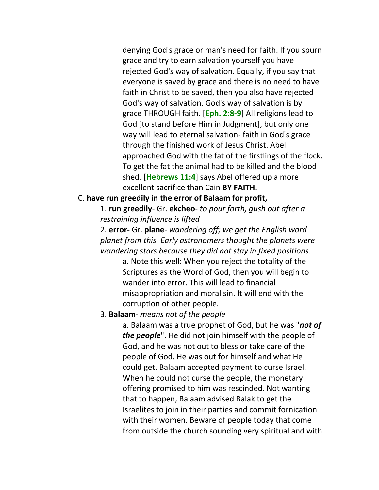denying God's grace or man's need for faith. If you spurn grace and try to earn salvation yourself you have rejected God's way of salvation. Equally, if you say that everyone is saved by grace and there is no need to have faith in Christ to be saved, then you also have rejected God's way of salvation. God's way of salvation is by grace THROUGH faith. [**Eph. 2:8-9**] All religions lead to God [to stand before Him in Judgment], but only one way will lead to eternal salvation- faith in God's grace through the finished work of Jesus Christ. Abel approached God with the fat of the firstlings of the flock. To get the fat the animal had to be killed and the blood shed. [**Hebrews 11:4**] says Abel offered up a more excellent sacrifice than Cain **BY FAITH**.

#### C. **have run greedily in the error of Balaam for profit,**

1. **run greedily**- Gr. **ekcheo**- *to pour forth, gush out after a restraining influence is lifted*

2. **error-** Gr. **plane***- wandering off; we get the English word planet from this. Early astronomers thought the planets were wandering stars because they did not stay in fixed positions.*

> a. Note this well: When you reject the totality of the Scriptures as the Word of God, then you will begin to wander into error. This will lead to financial misappropriation and moral sin. It will end with the corruption of other people.

#### 3. **Balaam**- *means not of the people*

a. Balaam was a true prophet of God, but he was "*not of the people*". He did not join himself with the people of God, and he was not out to bless or take care of the people of God. He was out for himself and what He could get. Balaam accepted payment to curse Israel. When he could not curse the people, the monetary offering promised to him was rescinded. Not wanting that to happen, Balaam advised Balak to get the Israelites to join in their parties and commit fornication with their women. Beware of people today that come from outside the church sounding very spiritual and with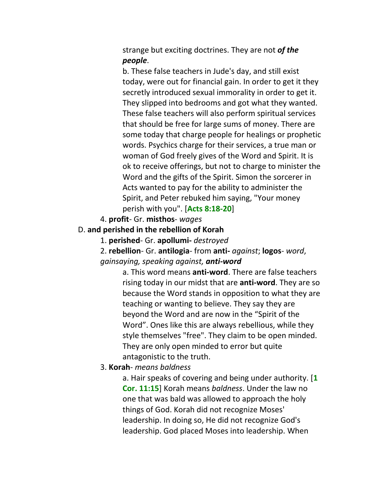strange but exciting doctrines. They are not *of the people*.

b. These false teachers in Jude's day, and still exist today, were out for financial gain. In order to get it they secretly introduced sexual immorality in order to get it. They slipped into bedrooms and got what they wanted. These false teachers will also perform spiritual services that should be free for large sums of money. There are some today that charge people for healings or prophetic words. Psychics charge for their services, a true man or woman of God freely gives of the Word and Spirit. It is ok to receive offerings, but not to charge to minister the Word and the gifts of the Spirit. Simon the sorcerer in Acts wanted to pay for the ability to administer the Spirit, and Peter rebuked him saying, "Your money perish with you". [**Acts 8:18-20**]

4. **profit**- Gr. **misthos**- *wages*

- D. **and perished in the rebellion of Korah**
	- 1. **perished** Gr. **apollumi-** *destroyed*

2. **rebellion**- Gr. **antilogia**- from **anti-** *against*; **logos**- *word*, *gainsaying, speaking against, anti-word*

> a. This word means **anti-word**. There are false teachers rising today in our midst that are **anti-word**. They are so because the Word stands in opposition to what they are teaching or wanting to believe. They say they are beyond the Word and are now in the "Spirit of the Word". Ones like this are always rebellious, while they style themselves "free". They claim to be open minded. They are only open minded to error but quite antagonistic to the truth.

3. **Korah**- *means baldness*

a. Hair speaks of covering and being under authority. [**1 Cor. 11:15**] Korah means *baldness*. Under the law no one that was bald was allowed to approach the holy things of God. Korah did not recognize Moses' leadership. In doing so, He did not recognize God's leadership. God placed Moses into leadership. When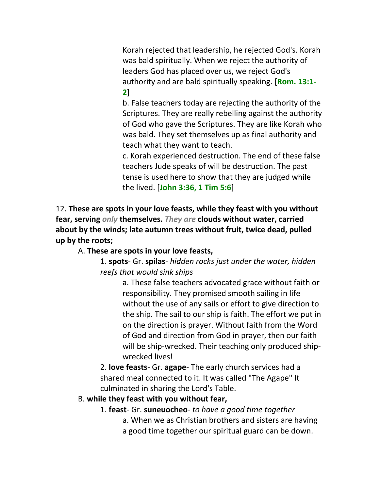Korah rejected that leadership, he rejected God's. Korah was bald spiritually. When we reject the authority of leaders God has placed over us, we reject God's authority and are bald spiritually speaking. [**Rom. 13:1- 2**]

b. False teachers today are rejecting the authority of the Scriptures. They are really rebelling against the authority of God who gave the Scriptures. They are like Korah who was bald. They set themselves up as final authority and teach what they want to teach.

c. Korah experienced destruction. The end of these false teachers Jude speaks of will be destruction. The past tense is used here to show that they are judged while the lived. [**John 3:36, 1 Tim 5:6**]

12. **These are spots in your love feasts, while they feast with you without fear, serving** *only* **themselves.** *They are* **clouds without water, carried about by the winds; late autumn trees without fruit, twice dead, pulled up by the roots;**

A. **These are spots in your love feasts,**

1. **spots**- Gr. **spilas**- *hidden rocks just under the water, hidden reefs that would sink ships*

> a. These false teachers advocated grace without faith or responsibility. They promised smooth sailing in life without the use of any sails or effort to give direction to the ship. The sail to our ship is faith. The effort we put in on the direction is prayer. Without faith from the Word of God and direction from God in prayer, then our faith will be ship-wrecked. Their teaching only produced shipwrecked lives!

2. **love feasts**- Gr. **agape**- The early church services had a shared meal connected to it. It was called "The Agape" It culminated in sharing the Lord's Table.

### B. **while they feast with you without fear,**

## 1. **feast**- Gr. **suneuocheo**- *to have a good time together* a. When we as Christian brothers and sisters are having a good time together our spiritual guard can be down.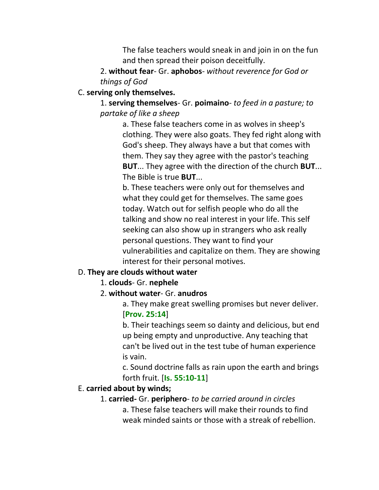The false teachers would sneak in and join in on the fun and then spread their poison deceitfully.

2. **without fear**- Gr. **aphobos**- *without reverence for God or things of God*

### C. **serving only themselves.**

1. **serving themselves**- Gr. **poimaino**- *to feed in a pasture; to partake of like a sheep*

> a. These false teachers come in as wolves in sheep's clothing. They were also goats. They fed right along with God's sheep. They always have a but that comes with them. They say they agree with the pastor's teaching **BUT**... They agree with the direction of the church **BUT**... The Bible is true **BUT**...

> b. These teachers were only out for themselves and what they could get for themselves. The same goes today. Watch out for selfish people who do all the talking and show no real interest in your life. This self seeking can also show up in strangers who ask really personal questions. They want to find your vulnerabilities and capitalize on them. They are showing interest for their personal motives.

### D. **They are clouds without water**

- 1. **clouds** Gr. **nephele**
- 2. **without water** Gr. **anudros**

a. They make great swelling promises but never deliver. [**Prov. 25:14**]

b. Their teachings seem so dainty and delicious, but end up being empty and unproductive. Any teaching that can't be lived out in the test tube of human experience is vain.

c. Sound doctrine falls as rain upon the earth and brings forth fruit. [**Is. 55:10-11**]

#### E. **carried about by winds;**

#### 1. **carried-** Gr. **periphero**- *to be carried around in circles*

a. These false teachers will make their rounds to find weak minded saints or those with a streak of rebellion.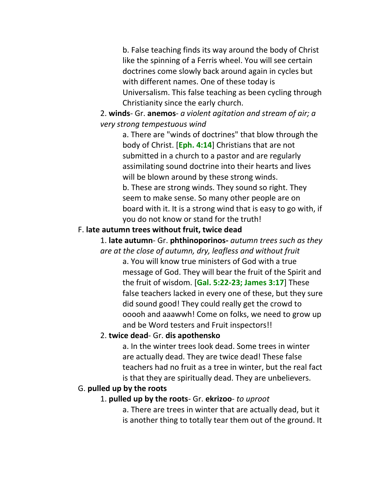b. False teaching finds its way around the body of Christ like the spinning of a Ferris wheel. You will see certain doctrines come slowly back around again in cycles but with different names. One of these today is Universalism. This false teaching as been cycling through Christianity since the early church.

2. **winds**- Gr. **anemos**- *a violent agitation and stream of air; a very strong tempestuous wind*

> a. There are "winds of doctrines" that blow through the body of Christ. [**Eph. 4:14**] Christians that are not submitted in a church to a pastor and are regularly assimilating sound doctrine into their hearts and lives will be blown around by these strong winds. b. These are strong winds. They sound so right. They seem to make sense. So many other people are on board with it. It is a strong wind that is easy to go with, if you do not know or stand for the truth!

#### F. **late autumn trees without fruit, twice dead**

1. **late autumn**- Gr. **phthinoporinos-** *autumn trees such as they are at the close of autumn, dry, leafless and without fruit*

a. You will know true ministers of God with a true message of God. They will bear the fruit of the Spirit and the fruit of wisdom. [**Gal. 5:22-23; James 3:17**] These false teachers lacked in every one of these, but they sure did sound good! They could really get the crowd to ooooh and aaawwh! Come on folks, we need to grow up and be Word testers and Fruit inspectors!!

#### 2. **twice dead**- Gr. **dis apothensko**

a. In the winter trees look dead. Some trees in winter are actually dead. They are twice dead! These false teachers had no fruit as a tree in winter, but the real fact is that they are spiritually dead. They are unbelievers.

#### G. **pulled up by the roots**

#### 1. **pulled up by the roots**- Gr. **ekrizoo**- *to uproot*

a. There are trees in winter that are actually dead, but it is another thing to totally tear them out of the ground. It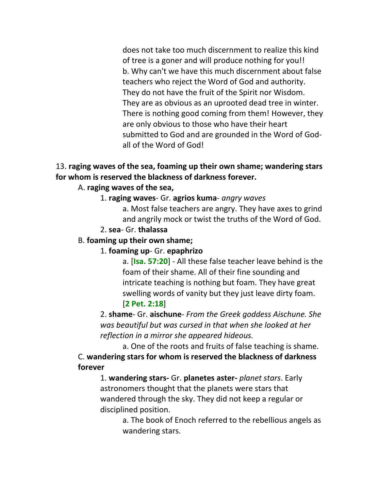does not take too much discernment to realize this kind of tree is a goner and will produce nothing for you!! b. Why can't we have this much discernment about false teachers who reject the Word of God and authority. They do not have the fruit of the Spirit nor Wisdom. They are as obvious as an uprooted dead tree in winter. There is nothing good coming from them! However, they are only obvious to those who have their heart submitted to God and are grounded in the Word of Godall of the Word of God!

## 13. **raging waves of the sea, foaming up their own shame; wandering stars for whom is reserved the blackness of darkness forever.**

## A. **raging waves of the sea,**

1. **raging waves**- Gr. **agrios kuma**- *angry waves*

a. Most false teachers are angry. They have axes to grind and angrily mock or twist the truths of the Word of God.

2. **sea**- Gr. **thalassa**

### B. **foaming up their own shame;**

### 1. **foaming up**- Gr. **epaphrizo**

a. [**Isa. 57:20**] - All these false teacher leave behind is the foam of their shame. All of their fine sounding and intricate teaching is nothing but foam. They have great swelling words of vanity but they just leave dirty foam. [**2 Pet. 2:18**]

2. **shame**- Gr. **aischune**- *From the Greek goddess Aischune. She was beautiful but was cursed in that when she looked at her reflection in a mirror she appeared hideous.*

a. One of the roots and fruits of false teaching is shame. C. **wandering stars for whom is reserved the blackness of darkness forever**

1. **wandering stars-** Gr. **planetes aster-** *planet stars*. Early astronomers thought that the planets were stars that wandered through the sky. They did not keep a regular or disciplined position.

a. The book of Enoch referred to the rebellious angels as wandering stars.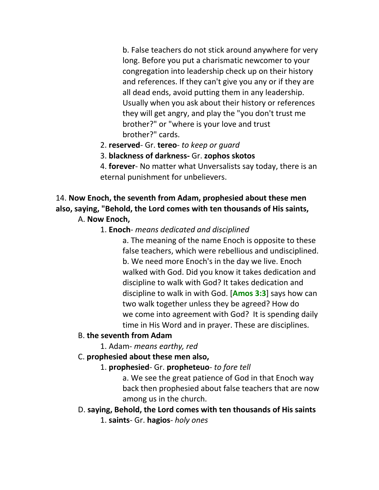b. False teachers do not stick around anywhere for very long. Before you put a charismatic newcomer to your congregation into leadership check up on their history and references. If they can't give you any or if they are all dead ends, avoid putting them in any leadership. Usually when you ask about their history or references they will get angry, and play the "you don't trust me brother?" or "where is your love and trust brother?" cards.

- 2. **reserved** Gr. **tereo** *to keep or guard*
- 3. **blackness of darkness-** Gr. **zophos skotos**

4. **forever**- No matter what Unversalists say today, there is an eternal punishment for unbelievers.

# 14. **Now Enoch, the seventh from Adam, prophesied about these men also, saying, "Behold, the Lord comes with ten thousands of His saints,**

### A. **Now Enoch,**

### 1. **Enoch**- *means dedicated and disciplined*

a. The meaning of the name Enoch is opposite to these false teachers, which were rebellious and undisciplined. b. We need more Enoch's in the day we live. Enoch walked with God. Did you know it takes dedication and discipline to walk with God? It takes dedication and discipline to walk in with God. [**Amos 3:3**] says how can two walk together unless they be agreed? How do we come into agreement with God? It is spending daily time in His Word and in prayer. These are disciplines.

### B. **the seventh from Adam**

1. Adam- *means earthy, red*

### C. **prophesied about these men also,**

1. **prophesied**- Gr. **propheteuo**- *to fore tell*

a. We see the great patience of God in that Enoch way back then prophesied about false teachers that are now among us in the church.

D. **saying, Behold, the Lord comes with ten thousands of His saints** 1. **saints**- Gr. **hagios**- *holy ones*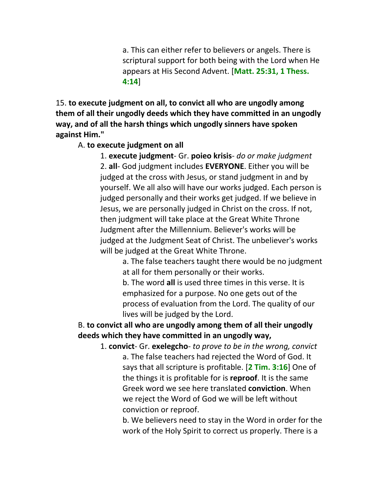a. This can either refer to believers or angels. There is scriptural support for both being with the Lord when He appears at His Second Advent. [**Matt. 25:31, 1 Thess. 4:14**]

15. **to execute judgment on all, to convict all who are ungodly among them of all their ungodly deeds which they have committed in an ungodly way, and of all the harsh things which ungodly sinners have spoken against Him."**

### A. **to execute judgment on all**

1. **execute judgment**- Gr. **poieo krisis**- *do or make judgment* 2. **all**- God judgment includes **EVERYONE**. Either you will be judged at the cross with Jesus, or stand judgment in and by yourself. We all also will have our works judged. Each person is judged personally and their works get judged. If we believe in Jesus, we are personally judged in Christ on the cross. If not, then judgment will take place at the Great White Throne Judgment after the Millennium. Believer's works will be judged at the Judgment Seat of Christ. The unbeliever's works will be judged at the Great White Throne.

> a. The false teachers taught there would be no judgment at all for them personally or their works.

b. The word **all** is used three times in this verse. It is emphasized for a purpose. No one gets out of the process of evaluation from the Lord. The quality of our lives will be judged by the Lord.

# B. **to convict all who are ungodly among them of all their ungodly deeds which they have committed in an ungodly way,**

1. **convict**- Gr. **exelegcho**- *to prove to be in the wrong, convict* a. The false teachers had rejected the Word of God. It says that all scripture is profitable. [**2 Tim. 3:16**] One of the things it is profitable for is **reproof**. It is the same Greek word we see here translated **conviction**. When we reject the Word of God we will be left without conviction or reproof.

b. We believers need to stay in the Word in order for the work of the Holy Spirit to correct us properly. There is a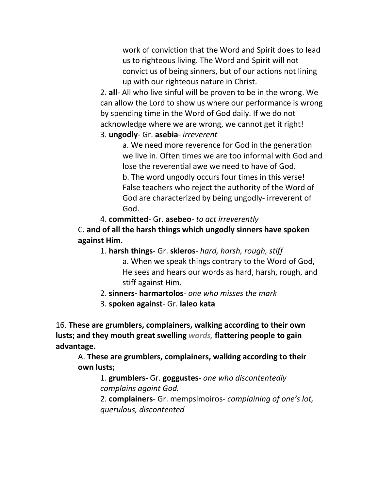work of conviction that the Word and Spirit does to lead us to righteous living. The Word and Spirit will not convict us of being sinners, but of our actions not lining up with our righteous nature in Christ.

2. **all**- All who live sinful will be proven to be in the wrong. We can allow the Lord to show us where our performance is wrong by spending time in the Word of God daily. If we do not acknowledge where we are wrong, we cannot get it right! 3. **ungodly**- Gr. **asebia**- *irreverent*

a. We need more reverence for God in the generation we live in. Often times we are too informal with God and lose the reverential awe we need to have of God. b. The word ungodly occurs four times in this verse! False teachers who reject the authority of the Word of God are characterized by being ungodly- irreverent of God.

4. **committed**- Gr. **asebeo**- *to act irreverently* C. **and of all the harsh things which ungodly sinners have spoken against Him.**

- 1. **harsh things** Gr. **skleros** *hard, harsh, rough, stiff* a. When we speak things contrary to the Word of God, He sees and hears our words as hard, harsh, rough, and stiff against Him.
- 2. **sinners- harmartolos** *one who misses the mark*
- 3. **spoken against** Gr. **laleo kata**

16. **These are grumblers, complainers, walking according to their own lusts; and they mouth great swelling** *words,* **flattering people to gain advantage.**

A. **These are grumblers, complainers, walking according to their own lusts;**

1. **grumblers-** Gr. **goggustes**- *one who discontentedly complains againt God.*

2. **complainers**- Gr. mempsimoiros- *complaining of one's lot, querulous, discontented*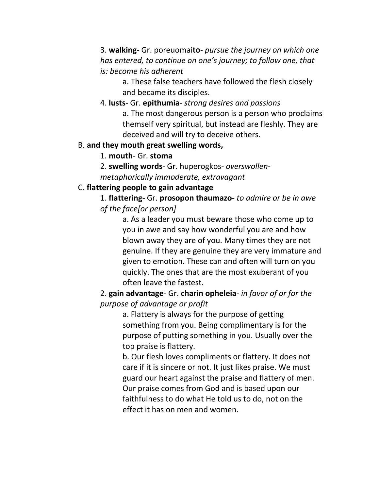3. **walking**- Gr. poreuomai**to**- *pursue the journey on which one has entered, to continue on one's journey; to follow one, that is: become his adherent*

a. These false teachers have followed the flesh closely and became its disciples.

4. **lusts**- Gr. **epithumia**- *strong desires and passions*

a. The most dangerous person is a person who proclaims themself very spiritual, but instead are fleshly. They are deceived and will try to deceive others.

## B. **and they mouth great swelling words,**

1. **mouth**- Gr. **stoma**

2. **swelling words**- Gr. huperogkos- *overswollenmetaphorically immoderate, extravagant*

## C. **flattering people to gain advantage**

1. **flattering**- Gr. **prosopon thaumazo**- *to admire or be in awe of the face[or person]*

> a. As a leader you must beware those who come up to you in awe and say how wonderful you are and how blown away they are of you. Many times they are not genuine. If they are genuine they are very immature and given to emotion. These can and often will turn on you quickly. The ones that are the most exuberant of you often leave the fastest.

2. **gain advantage**- Gr. **charin opheleia**- *in favor of or for the purpose of advantage or profit*

a. Flattery is always for the purpose of getting something from you. Being complimentary is for the purpose of putting something in you. Usually over the top praise is flattery.

b. Our flesh loves compliments or flattery. It does not care if it is sincere or not. It just likes praise. We must guard our heart against the praise and flattery of men. Our praise comes from God and is based upon our faithfulness to do what He told us to do, not on the effect it has on men and women.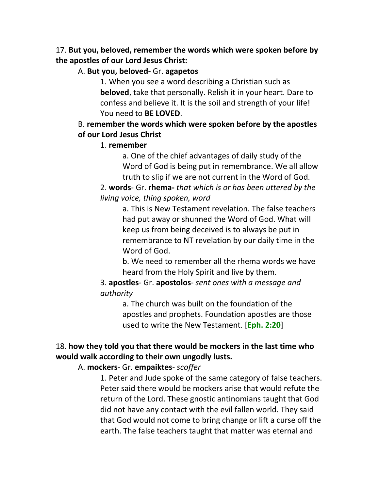## 17. **But you, beloved, remember the words which were spoken before by the apostles of our Lord Jesus Christ:**

## A. **But you, beloved-** Gr. **agapetos**

1. When you see a word describing a Christian such as **beloved**, take that personally. Relish it in your heart. Dare to confess and believe it. It is the soil and strength of your life! You need to **BE LOVED**.

## B. **remember the words which were spoken before by the apostles of our Lord Jesus Christ**

## 1. **remember**

a. One of the chief advantages of daily study of the Word of God is being put in remembrance. We all allow truth to slip if we are not current in the Word of God.

2. **words**- Gr. **rhema-** *that which is or has been uttered by the living voice, thing spoken, word*

> a. This is New Testament revelation. The false teachers had put away or shunned the Word of God. What will keep us from being deceived is to always be put in remembrance to NT revelation by our daily time in the Word of God.

> b. We need to remember all the rhema words we have heard from the Holy Spirit and live by them.

3. **apostles**- Gr. **apostolos**- *sent ones with a message and authority*

> a. The church was built on the foundation of the apostles and prophets. Foundation apostles are those used to write the New Testament. [**Eph. 2:20**]

# 18. **how they told you that there would be mockers in the last time who would walk according to their own ungodly lusts.**

A. **mockers**- Gr. **empaiktes**- *scoffer*

1. Peter and Jude spoke of the same category of false teachers. Peter said there would be mockers arise that would refute the return of the Lord. These gnostic antinomians taught that God did not have any contact with the evil fallen world. They said that God would not come to bring change or lift a curse off the earth. The false teachers taught that matter was eternal and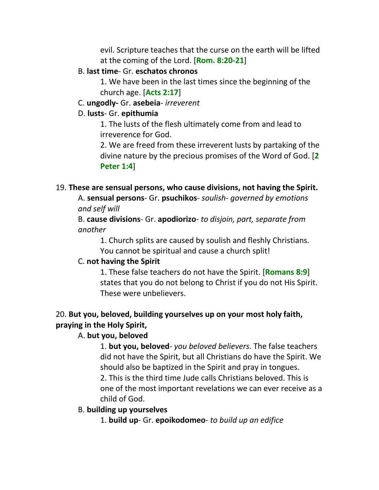evil. Scripture teaches that the curse on the earth will be lifted at the coming of the Lord. [**Rom. 8:20-21**]

#### B. **last time**- Gr. **eschatos chronos**

1. We have been in the last times since the beginning of the church age. [**Acts 2:17**]

#### C. **ungodly-** Gr. **asebeia**- *irreverent*

#### D. **lusts**- Gr. **epithumia**

1. The lusts of the flesh ultimately come from and lead to irreverence for God.

2. We are freed from these irreverent lusts by partaking of the divine nature by the precious promises of the Word of God. [**2 Peter 1:4**]

### 19. **These are sensual persons, who cause divisions, not having the Spirit.**

A. **sensual persons**- Gr. **psuchikos**- *soulish- governed by emotions and self will*

B. **cause divisions**- Gr. **apodiorizo**- *to disjoin, part, separate from another*

1. Church splits are caused by soulish and fleshly Christians. You cannot be spiritual and cause a church split!

### C. **not having the Spirit**

1. These false teachers do not have the Spirit. [**Romans 8:9**] states that you do not belong to Christ if you do not His Spirit. These were unbelievers.

## 20. **But you, beloved, building yourselves up on your most holy faith, praying in the Holy Spirit,**

## A. **but you, beloved**

1. **but you, beloved**- *you beloved believers*. The false teachers did not have the Spirit, but all Christians do have the Spirit. We should also be baptized in the Spirit and pray in tongues.

2. This is the third time Jude calls Christians beloved. This is one of the most important revelations we can ever receive as a child of God.

### B. **building up yourselves**

1. **build up**- Gr. **epoikodomeo**- *to build up an edifice*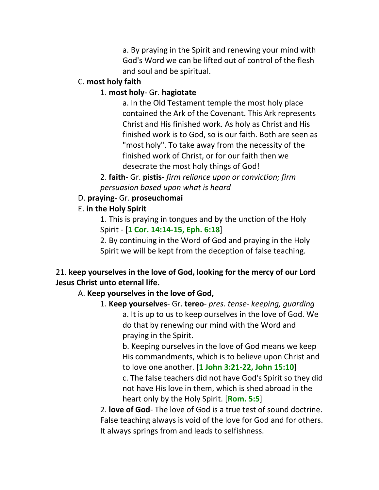a. By praying in the Spirit and renewing your mind with God's Word we can be lifted out of control of the flesh and soul and be spiritual.

## C. **most holy faith**

## 1. **most holy**- Gr. **hagiotate**

a. In the Old Testament temple the most holy place contained the Ark of the Covenant. This Ark represents Christ and His finished work. As holy as Christ and His finished work is to God, so is our faith. Both are seen as "most holy". To take away from the necessity of the finished work of Christ, or for our faith then we desecrate the most holy things of God!

2. **faith**- Gr. **pistis-** *firm reliance upon or conviction; firm persuasion based upon what is heard*

## D. **praying**- Gr. **proseuchomai**

## E. **in the Holy Spirit**

1. This is praying in tongues and by the unction of the Holy Spirit - [**1 Cor. 14:14-15, Eph. 6:18**]

2. By continuing in the Word of God and praying in the Holy Spirit we will be kept from the deception of false teaching.

## 21. **keep yourselves in the love of God, looking for the mercy of our Lord Jesus Christ unto eternal life.**

## A. **Keep yourselves in the love of God,**

1. **Keep yourselves**- Gr. **tereo**- *pres. tense- keeping, guarding* a. It is up to us to keep ourselves in the love of God. We do that by renewing our mind with the Word and praying in the Spirit.

b. Keeping ourselves in the love of God means we keep His commandments, which is to believe upon Christ and to love one another. [**1 John 3:21-22, John 15:10**] c. The false teachers did not have God's Spirit so they did not have His love in them, which is shed abroad in the heart only by the Holy Spirit. [**Rom. 5:5**]

2. **love of God**- The love of God is a true test of sound doctrine. False teaching always is void of the love for God and for others. It always springs from and leads to selfishness.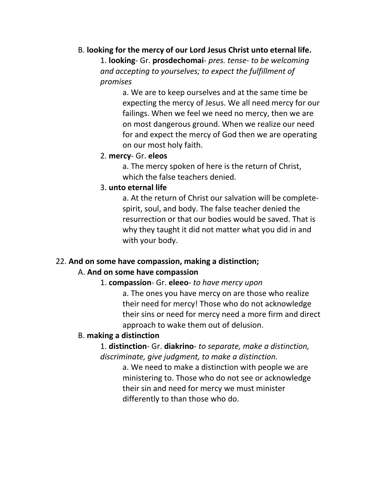### B. **looking for the mercy of our Lord Jesus Christ unto eternal life.**

1. **looking**- Gr. **prosdechomai**- *pres. tense- to be welcoming and accepting to yourselves; to expect the fulfillment of promises*

> a. We are to keep ourselves and at the same time be expecting the mercy of Jesus. We all need mercy for our failings. When we feel we need no mercy, then we are on most dangerous ground. When we realize our need for and expect the mercy of God then we are operating on our most holy faith.

### 2. **mercy**- Gr. **eleos**

a. The mercy spoken of here is the return of Christ, which the false teachers denied.

### 3. **unto eternal life**

a. At the return of Christ our salvation will be completespirit, soul, and body. The false teacher denied the resurrection or that our bodies would be saved. That is why they taught it did not matter what you did in and with your body.

### 22. **And on some have compassion, making a distinction;**

### A. **And on some have compassion**

### 1. **compassion**- Gr. **eleeo**- *to have mercy upon*

a. The ones you have mercy on are those who realize their need for mercy! Those who do not acknowledge their sins or need for mercy need a more firm and direct approach to wake them out of delusion.

#### B. **making a distinction**

1. **distinction**- Gr. **diakrino**- *to separate, make a distinction, discriminate, give judgment, to make a distinction.*

> a. We need to make a distinction with people we are ministering to. Those who do not see or acknowledge their sin and need for mercy we must minister differently to than those who do.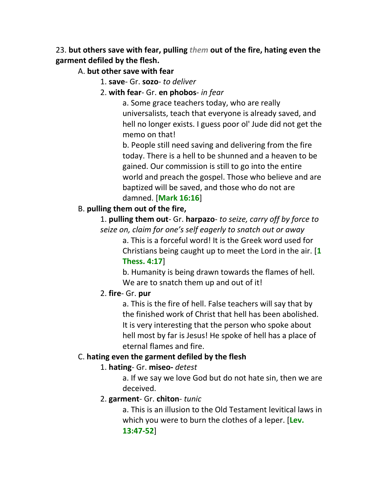## 23. **but others save with fear, pulling** *them* **out of the fire, hating even the garment defiled by the flesh.**

A. **but other save with fear**

- 1. **save** Gr. **sozo** *to deliver*
- 2. **with fear** Gr. **en phobos** *in fear*

a. Some grace teachers today, who are really universalists, teach that everyone is already saved, and hell no longer exists. I guess poor ol' Jude did not get the memo on that!

b. People still need saving and delivering from the fire today. There is a hell to be shunned and a heaven to be gained. Our commission is still to go into the entire world and preach the gospel. Those who believe and are baptized will be saved, and those who do not are damned. [**Mark 16:16**]

## B. **pulling them out of the fire,**

1. **pulling them out**- Gr. **harpazo**- *to seize, carry off by force to seize on, claim for one's self eagerly to snatch out or away*

> a. This is a forceful word! It is the Greek word used for Christians being caught up to meet the Lord in the air. [**1 Thess. 4:17**]

b. Humanity is being drawn towards the flames of hell. We are to snatch them up and out of it!

## 2. **fire**- Gr. **pur**

a. This is the fire of hell. False teachers will say that by the finished work of Christ that hell has been abolished. It is very interesting that the person who spoke about hell most by far is Jesus! He spoke of hell has a place of eternal flames and fire.

## C. **hating even the garment defiled by the flesh**

## 1. **hating**- Gr. **miseo-** *detest*

a. If we say we love God but do not hate sin, then we are deceived.

## 2. **garment**- Gr. **chiton**- *tunic*

a. This is an illusion to the Old Testament levitical laws in which you were to burn the clothes of a leper. [**Lev. 13:47-52**]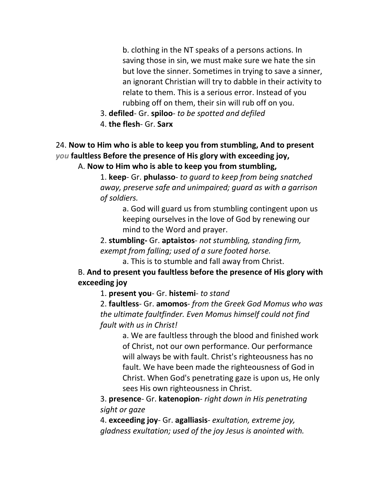b. clothing in the NT speaks of a persons actions. In saving those in sin, we must make sure we hate the sin but love the sinner. Sometimes in trying to save a sinner, an ignorant Christian will try to dabble in their activity to relate to them. This is a serious error. Instead of you rubbing off on them, their sin will rub off on you.

- 3. **defiled** Gr. **spiloo** *to be spotted and defiled*
- 4. **the flesh** Gr. **Sarx**

## 24. **Now to Him who is able to keep you from stumbling, And to present**  *you* **faultless Before the presence of His glory with exceeding joy,** A. **Now to Him who is able to keep you from stumbling,**

1. **keep**- Gr. **phulasso**- *to guard to keep from being snatched away, preserve safe and unimpaired; guard as with a garrison of soldiers.*

a. God will guard us from stumbling contingent upon us keeping ourselves in the love of God by renewing our mind to the Word and prayer.

2. **stumbling-** Gr. **aptaistos**- *not stumbling, standing firm, exempt from falling; used of a sure footed horse.*

a. This is to stumble and fall away from Christ. B. **And to present you faultless before the presence of His glory with exceeding joy**

1. **present you**- Gr. **histemi**- *to stand*

2. **faultless**- Gr. **amomos**- *from the Greek God Momus who was the ultimate faultfinder. Even Momus himself could not find fault with us in Christ!*

a. We are faultless through the blood and finished work of Christ, not our own performance. Our performance will always be with fault. Christ's righteousness has no fault. We have been made the righteousness of God in Christ. When God's penetrating gaze is upon us, He only sees His own righteousness in Christ.

3. **presence**- Gr. **katenopion**- *right down in His penetrating sight or gaze*

4. **exceeding joy**- Gr. **agalliasis**- *exultation, extreme joy, gladness exultation; used of the joy Jesus is anointed with.*